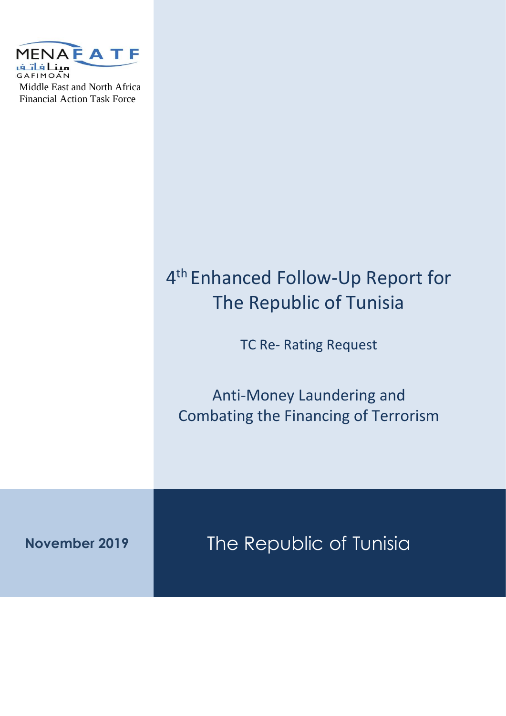

# 4 th Enhanced Follow-Up Report for The Republic of Tunisia TC Re- Rating Request Anti-Money Laundering and Combating the Financing of Terrorism

**November 2019** The Republic of Tunisia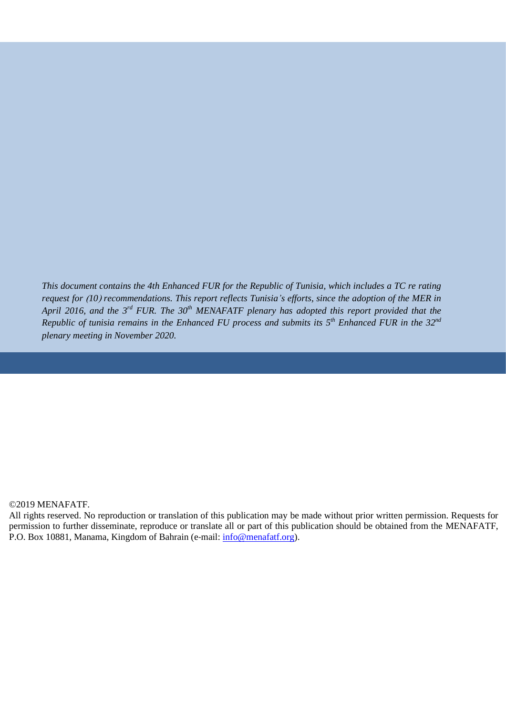*This document contains the 4th Enhanced FUR for the Republic of Tunisia, which includes a TC re rating request for )10( recommendations. This report reflects Tunisia's efforts, since the adoption of the MER in April 2016, and the 3rd FUR. The 30th MENAFATF plenary has adopted this report provided that the Republic of tunisia remains in the Enhanced FU process and submits its 5 th Enhanced FUR in the 32nd plenary meeting in November 2020.*

#### ©2019 MENAFATF.

All rights reserved. No reproduction or translation of this publication may be made without prior written permission. Requests for permission to further disseminate, reproduce or translate all or part of this publication should be obtained from the MENAFATF, P.O. Box 10881, Manama, Kingdom of Bahrain (e‐mail: [info@menafatf.org\)](mailto:info@menafatf.org).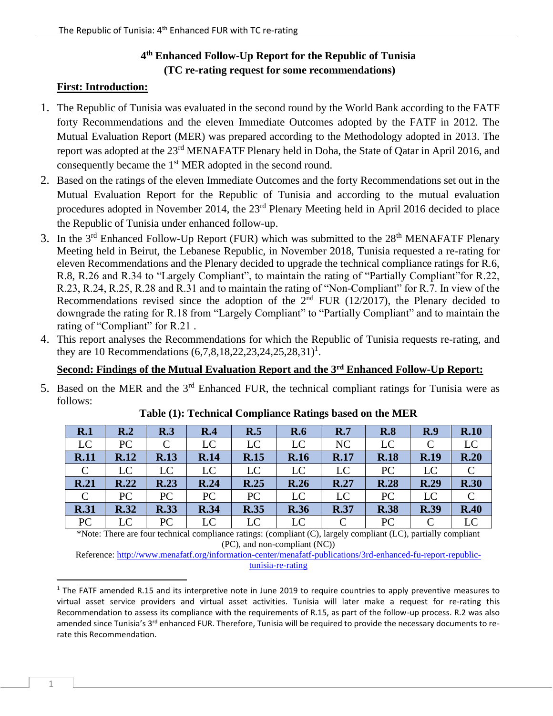## **4 th Enhanced Follow-Up Report for the Republic of Tunisia (TC re-rating request for some recommendations)**

## **First: Introduction:**

- 1. The Republic of Tunisia was evaluated in the second round by the World Bank according to the FATF forty Recommendations and the eleven Immediate Outcomes adopted by the FATF in 2012. The Mutual Evaluation Report (MER) was prepared according to the Methodology adopted in 2013. The report was adopted at the 23<sup>rd</sup> MENAFATF Plenary held in Doha, the State of Qatar in April 2016, and consequently became the 1<sup>st</sup> MER adopted in the second round.
- 2. Based on the ratings of the eleven Immediate Outcomes and the forty Recommendations set out in the Mutual Evaluation Report for the Republic of Tunisia and according to the mutual evaluation procedures adopted in November 2014, the 23rd Plenary Meeting held in April 2016 decided to place the Republic of Tunisia under enhanced follow-up.
- 3. In the  $3<sup>rd</sup>$  Enhanced Follow-Up Report (FUR) which was submitted to the  $28<sup>th</sup>$  MENAFATF Plenary Meeting held in Beirut, the Lebanese Republic, in November 2018, Tunisia requested a re-rating for eleven Recommendations and the Plenary decided to upgrade the technical compliance ratings for R.6, R.8, R.26 and R.34 to "Largely Compliant", to maintain the rating of "Partially Compliant"for R.22, R.23, R.24, R.25, R.28 and R.31 and to maintain the rating of "Non-Compliant" for R.7. In view of the Recommendations revised since the adoption of the  $2<sup>nd</sup>$  FUR (12/2017), the Plenary decided to downgrade the rating for R.18 from "Largely Compliant" to "Partially Compliant" and to maintain the rating of "Compliant" for R.21.
- 4. This report analyses the Recommendations for which the Republic of Tunisia requests re-rating, and they are 10 Recommendations  $(6,7,8,18,22,23,24,25,28,31)^1$ .

## **Second: Findings of the Mutual Evaluation Report and the 3rd Enhanced Follow-Up Report:**

5. Based on the MER and the  $3<sup>rd</sup>$  Enhanced FUR, the technical compliant ratings for Tunisia were as follows:

| R.1           | R <sub>.2</sub> | R.3          | R.4         | R.5         | R.6         | R.7           | R.8         | R.9           | R.10        |
|---------------|-----------------|--------------|-------------|-------------|-------------|---------------|-------------|---------------|-------------|
| LC            | PC              | $\mathsf{C}$ | LC          | LC          | LC          | NC            | LC          | $\mathcal{C}$ | LC          |
| <b>R.11</b>   | R.12            | <b>R.13</b>  | <b>R.14</b> | <b>R.15</b> | <b>R.16</b> | <b>R.17</b>   | <b>R.18</b> | <b>R.19</b>   | R.20        |
| $\mathcal{C}$ | LC              | LC           | LC          | LC          | LC          | LC            | PC          | LC            |             |
| R.21          | R.22            | <b>R.23</b>  | R.24        | R.25        | R.26        | R.27          | <b>R.28</b> | R.29          | <b>R.30</b> |
| $\mathcal{C}$ | PC              | PC           | PC          | PC          | LC          | LC            | PC          | LC            |             |
| <b>R.31</b>   | R.32            | <b>R.33</b>  | <b>R.34</b> | <b>R.35</b> | <b>R.36</b> | <b>R.37</b>   | <b>R.38</b> | <b>R.39</b>   | R.40        |
| PC            | LC              | PC           | LC          | LC          | LC          | $\mathcal{C}$ | PC          | $\mathcal{C}$ | LC          |

#### **Table (1): Technical Compliance Ratings based on the MER**

\*Note: There are four technical compliance ratings: (compliant (C), largely compliant (LC), partially compliant (PC), and non-compliant (NC))

Reference[: http://www.menafatf.org/information-center/menafatf-publications/3rd-enhanced-fu-report-republic](http://www.menafatf.org/ar/information-center/menafatf-publications/تقرير-المتابعة-المعززة-الثالث-للجمهورية-التونسيةطلب-اعادة)[tunisia-re-rating](http://www.menafatf.org/ar/information-center/menafatf-publications/تقرير-المتابعة-المعززة-الثالث-للجمهورية-التونسيةطلب-اعادة)

 $1$  The FATF amended R.15 and its interpretive note in June 2019 to require countries to apply preventive measures to virtual asset service providers and virtual asset activities. Tunisia will later make a request for re-rating this Recommendation to assess its compliance with the requirements of R.15, as part of the follow-up process. R.2 was also amended since Tunisia's 3<sup>rd</sup> enhanced FUR. Therefore, Tunisia will be required to provide the necessary documents to rerate this Recommendation.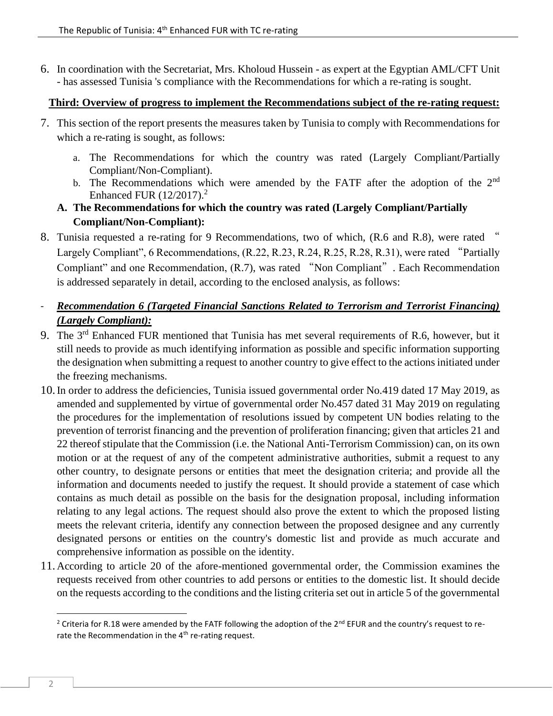6. In coordination with the Secretariat, Mrs. Kholoud Hussein - as expert at the Egyptian AML/CFT Unit - has assessed Tunisia 's compliance with the Recommendations for which a re-rating is sought.

#### **Third: Overview of progress to implement the Recommendations subject of the re-rating request:**

- 7. This section of the report presents the measures taken by Tunisia to comply with Recommendations for which a re-rating is sought, as follows:
	- a. The Recommendations for which the country was rated (Largely Compliant/Partially Compliant/Non-Compliant).
	- b. The Recommendations which were amended by the FATF after the adoption of the 2<sup>nd</sup> Enhanced FUR (12/2017).<sup>2</sup>
	- **A. The Recommendations for which the country was rated (Largely Compliant/Partially Compliant/Non-Compliant):**
- 8. Tunisia requested a re-rating for 9 Recommendations, two of which, (R.6 and R.8), were rated " Largely Compliant", 6 Recommendations, (R.22, R.23, R.24, R.25, R.28, R.31), were rated "Partially Compliant" and one Recommendation, (R.7), was rated "Non Compliant". Each Recommendation is addressed separately in detail, according to the enclosed analysis, as follows:
- *Recommendation 6 (Targeted Financial Sanctions Related to Terrorism and Terrorist Financing) (Largely Compliant):*
- 9. The 3<sup>rd</sup> Enhanced FUR mentioned that Tunisia has met several requirements of R.6, however, but it still needs to provide as much identifying information as possible and specific information supporting the designation when submitting a request to another country to give effect to the actions initiated under the freezing mechanisms.
- 10.In order to address the deficiencies, Tunisia issued governmental order No.419 dated 17 May 2019, as amended and supplemented by virtue of governmental order No.457 dated 31 May 2019 on regulating the procedures for the implementation of resolutions issued by competent UN bodies relating to the prevention of terrorist financing and the prevention of proliferation financing; given that articles 21 and 22 thereof stipulate that the Commission (i.e. the National Anti-Terrorism Commission) can, on its own motion or at the request of any of the competent administrative authorities, submit a request to any other country, to designate persons or entities that meet the designation criteria; and provide all the information and documents needed to justify the request. It should provide a statement of case which contains as much detail as possible on the basis for the designation proposal, including information relating to any legal actions. The request should also prove the extent to which the proposed listing meets the relevant criteria, identify any connection between the proposed designee and any currently designated persons or entities on the country's domestic list and provide as much accurate and comprehensive information as possible on the identity.
- 11. According to article 20 of the afore-mentioned governmental order, the Commission examines the requests received from other countries to add persons or entities to the domestic list. It should decide on the requests according to the conditions and the listing criteria set out in article 5 of the governmental

<sup>&</sup>lt;sup>2</sup> Criteria for R.18 were amended by the FATF following the adoption of the 2<sup>nd</sup> EFUR and the country's request to rerate the Recommendation in the  $4<sup>th</sup>$  re-rating request.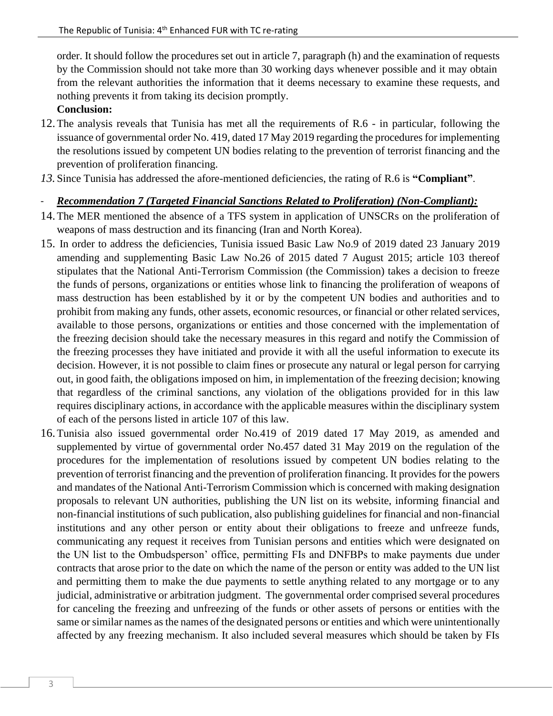order. It should follow the procedures set out in article 7, paragraph (h) and the examination of requests by the Commission should not take more than 30 working days whenever possible and it may obtain from the relevant authorities the information that it deems necessary to examine these requests, and nothing prevents it from taking its decision promptly.

#### **Conclusion:**

- 12.The analysis reveals that Tunisia has met all the requirements of R.6 in particular, following the issuance of governmental order No. 419, dated 17 May 2019 regarding the procedures for implementing the resolutions issued by competent UN bodies relating to the prevention of terrorist financing and the prevention of proliferation financing.
- *13.* Since Tunisia has addressed the afore-mentioned deficiencies, the rating of R.6 is **"Compliant"** .

#### - *Recommendation 7 (Targeted Financial Sanctions Related to Proliferation) (Non-Compliant):*

- 14.The MER mentioned the absence of a TFS system in application of UNSCRs on the proliferation of weapons of mass destruction and its financing (Iran and North Korea).
- 15. In order to address the deficiencies, Tunisia issued Basic Law No.9 of 2019 dated 23 January 2019 amending and supplementing Basic Law No.26 of 2015 dated 7 August 2015; article 103 thereof stipulates that the National Anti-Terrorism Commission (the Commission) takes a decision to freeze the funds of persons, organizations or entities whose link to financing the proliferation of weapons of mass destruction has been established by it or by the competent UN bodies and authorities and to prohibit from making any funds, other assets, economic resources, or financial or other related services, available to those persons, organizations or entities and those concerned with the implementation of the freezing decision should take the necessary measures in this regard and notify the Commission of the freezing processes they have initiated and provide it with all the useful information to execute its decision. However, it is not possible to claim fines or prosecute any natural or legal person for carrying out, in good faith, the obligations imposed on him, in implementation of the freezing decision; knowing that regardless of the criminal sanctions, any violation of the obligations provided for in this law requires disciplinary actions, in accordance with the applicable measures within the disciplinary system of each of the persons listed in article 107 of this law.
- 16.Tunisia also issued governmental order No.419 of 2019 dated 17 May 2019, as amended and supplemented by virtue of governmental order No.457 dated 31 May 2019 on the regulation of the procedures for the implementation of resolutions issued by competent UN bodies relating to the prevention of terrorist financing and the prevention of proliferation financing. It provides for the powers and mandates of the National Anti-Terrorism Commission which is concerned with making designation proposals to relevant UN authorities, publishing the UN list on its website, informing financial and non-financial institutions of such publication, also publishing guidelines for financial and non-financial institutions and any other person or entity about their obligations to freeze and unfreeze funds, communicating any request it receives from Tunisian persons and entities which were designated on the UN list to the Ombudsperson' office, permitting FIs and DNFBPs to make payments due under contracts that arose prior to the date on which the name of the person or entity was added to the UN list and permitting them to make the due payments to settle anything related to any mortgage or to any judicial, administrative or arbitration judgment. The governmental order comprised several procedures for canceling the freezing and unfreezing of the funds or other assets of persons or entities with the same or similar names as the names of the designated persons or entities and which were unintentionally affected by any freezing mechanism. It also included several measures which should be taken by FIs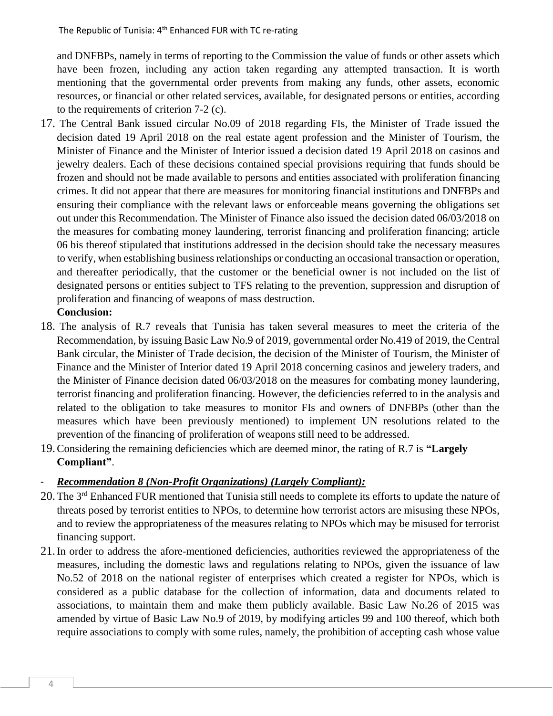and DNFBPs, namely in terms of reporting to the Commission the value of funds or other assets which have been frozen, including any action taken regarding any attempted transaction. It is worth mentioning that the governmental order prevents from making any funds, other assets, economic resources, or financial or other related services, available, for designated persons or entities, according to the requirements of criterion 7-2 (c).

17. The Central Bank issued circular No.09 of 2018 regarding FIs, the Minister of Trade issued the decision dated 19 April 2018 on the real estate agent profession and the Minister of Tourism, the Minister of Finance and the Minister of Interior issued a decision dated 19 April 2018 on casinos and jewelry dealers. Each of these decisions contained special provisions requiring that funds should be frozen and should not be made available to persons and entities associated with proliferation financing crimes. It did not appear that there are measures for monitoring financial institutions and DNFBPs and ensuring their compliance with the relevant laws or enforceable means governing the obligations set out under this Recommendation. The Minister of Finance also issued the decision dated 06/03/2018 on the measures for combating money laundering, terrorist financing and proliferation financing; article 06 bis thereof stipulated that institutions addressed in the decision should take the necessary measures to verify, when establishing business relationships or conducting an occasional transaction or operation, and thereafter periodically, that the customer or the beneficial owner is not included on the list of designated persons or entities subject to TFS relating to the prevention, suppression and disruption of proliferation and financing of weapons of mass destruction.

## **Conclusion:**

- 18. The analysis of R.7 reveals that Tunisia has taken several measures to meet the criteria of the Recommendation, by issuing Basic Law No.9 of 2019, governmental order No.419 of 2019, the Central Bank circular, the Minister of Trade decision, the decision of the Minister of Tourism, the Minister of Finance and the Minister of Interior dated 19 April 2018 concerning casinos and jewelery traders, and the Minister of Finance decision dated 06/03/2018 on the measures for combating money laundering, terrorist financing and proliferation financing. However, the deficiencies referred to in the analysis and related to the obligation to take measures to monitor FIs and owners of DNFBPs (other than the measures which have been previously mentioned) to implement UN resolutions related to the prevention of the financing of proliferation of weapons still need to be addressed.
- 19.Considering the remaining deficiencies which are deemed minor, the rating of R.7 is **"Largely Compliant"**.

## - *Recommendation 8 (Non-Profit Organizations) (Largely Compliant):*

- 20. The 3<sup>rd</sup> Enhanced FUR mentioned that Tunisia still needs to complete its efforts to update the nature of threats posed by terrorist entities to NPOs, to determine how terrorist actors are misusing these NPOs, and to review the appropriateness of the measures relating to NPOs which may be misused for terrorist financing support.
- 21.In order to address the afore-mentioned deficiencies, authorities reviewed the appropriateness of the measures, including the domestic laws and regulations relating to NPOs, given the issuance of law No.52 of 2018 on the national register of enterprises which created a register for NPOs, which is considered as a public database for the collection of information, data and documents related to associations, to maintain them and make them publicly available. Basic Law No.26 of 2015 was amended by virtue of Basic Law No.9 of 2019, by modifying articles 99 and 100 thereof, which both require associations to comply with some rules, namely, the prohibition of accepting cash whose value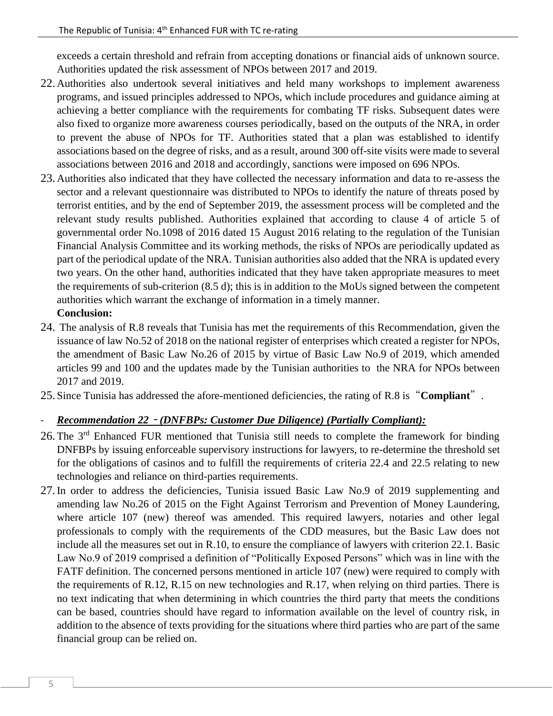exceeds a certain threshold and refrain from accepting donations or financial aids of unknown source. Authorities updated the risk assessment of NPOs between 2017 and 2019.

- 22. Authorities also undertook several initiatives and held many workshops to implement awareness programs, and issued principles addressed to NPOs, which include procedures and guidance aiming at achieving a better compliance with the requirements for combating TF risks. Subsequent dates were also fixed to organize more awareness courses periodically, based on the outputs of the NRA, in order to prevent the abuse of NPOs for TF. Authorities stated that a plan was established to identify associations based on the degree of risks, and as a result, around 300 off-site visits were made to several associations between 2016 and 2018 and accordingly, sanctions were imposed on 696 NPOs.
- 23. Authorities also indicated that they have collected the necessary information and data to re-assess the sector and a relevant questionnaire was distributed to NPOs to identify the nature of threats posed by terrorist entities, and by the end of September 2019, the assessment process will be completed and the relevant study results published. Authorities explained that according to clause 4 of article 5 of governmental order No.1098 of 2016 dated 15 August 2016 relating to the regulation of the Tunisian Financial Analysis Committee and its working methods, the risks of NPOs are periodically updated as part of the periodical update of the NRA. Tunisian authorities also added that the NRA is updated every two years. On the other hand, authorities indicated that they have taken appropriate measures to meet the requirements of sub-criterion (8.5 d); this is in addition to the MoUs signed between the competent authorities which warrant the exchange of information in a timely manner.

## **Conclusion:**

- 24. The analysis of R.8 reveals that Tunisia has met the requirements of this Recommendation, given the issuance of law No.52 of 2018 on the national register of enterprises which created a register for NPOs, the amendment of Basic Law No.26 of 2015 by virtue of Basic Law No.9 of 2019, which amended articles 99 and 100 and the updates made by the Tunisian authorities to the NRA for NPOs between 2017 and 2019.
- 25. Since Tunisia has addressed the afore-mentioned deficiencies, the rating of R.8 is"**Compliant**".

## - *Recommendation 22* – *(DNFBPs: Customer Due Diligence) (Partially Compliant):*

- 26. The 3<sup>rd</sup> Enhanced FUR mentioned that Tunisia still needs to complete the framework for binding DNFBPs by issuing enforceable supervisory instructions for lawyers, to re-determine the threshold set for the obligations of casinos and to fulfill the requirements of criteria 22.4 and 22.5 relating to new technologies and reliance on third-parties requirements.
- 27.In order to address the deficiencies, Tunisia issued Basic Law No.9 of 2019 supplementing and amending law No.26 of 2015 on the Fight Against Terrorism and Prevention of Money Laundering, where article 107 (new) thereof was amended. This required lawyers, notaries and other legal professionals to comply with the requirements of the CDD measures, but the Basic Law does not include all the measures set out in R.10, to ensure the compliance of lawyers with criterion 22.1. Basic Law No.9 of 2019 comprised a definition of "Politically Exposed Persons" which was in line with the FATF definition. The concerned persons mentioned in article 107 (new) were required to comply with the requirements of R.12, R.15 on new technologies and R.17, when relying on third parties. There is no text indicating that when determining in which countries the third party that meets the conditions can be based, countries should have regard to information available on the level of country risk, in addition to the absence of texts providing for the situations where third parties who are part of the same financial group can be relied on.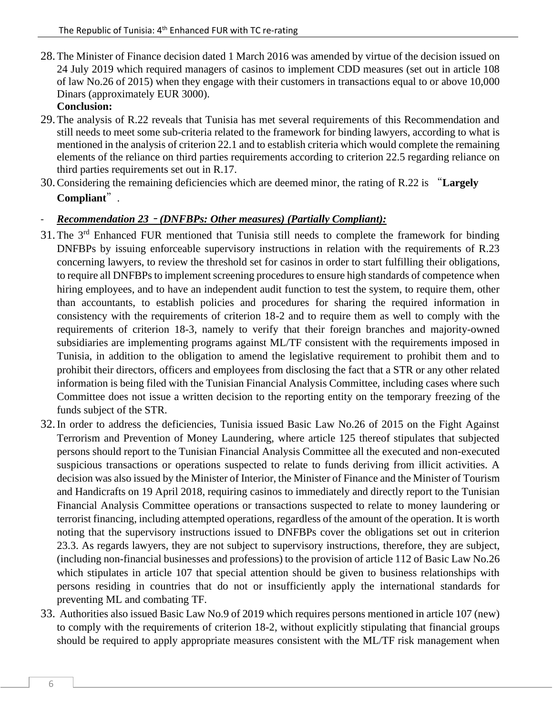28.The Minister of Finance decision dated 1 March 2016 was amended by virtue of the decision issued on 24 July 2019 which required managers of casinos to implement CDD measures (set out in article 108 of law No.26 of 2015) when they engage with their customers in transactions equal to or above 10,000 Dinars (approximately EUR 3000).

## **Conclusion:**

- 29.The analysis of R.22 reveals that Tunisia has met several requirements of this Recommendation and still needs to meet some sub-criteria related to the framework for binding lawyers, according to what is mentioned in the analysis of criterion 22.1 and to establish criteria which would complete the remaining elements of the reliance on third parties requirements according to criterion 22.5 regarding reliance on third parties requirements set out in R.17.
- 30.Considering the remaining deficiencies which are deemed minor, the rating of R.22 is "**Largely Compliant**".

## - *Recommendation 23* – *(DNFBPs: Other measures) (Partially Compliant):*

- 31. The 3<sup>rd</sup> Enhanced FUR mentioned that Tunisia still needs to complete the framework for binding DNFBPs by issuing enforceable supervisory instructions in relation with the requirements of R.23 concerning lawyers, to review the threshold set for casinos in order to start fulfilling their obligations, to require all DNFBPs to implement screening procedures to ensure high standards of competence when hiring employees, and to have an independent audit function to test the system, to require them, other than accountants, to establish policies and procedures for sharing the required information in consistency with the requirements of criterion 18-2 and to require them as well to comply with the requirements of criterion 18-3, namely to verify that their foreign branches and majority-owned subsidiaries are implementing programs against ML/TF consistent with the requirements imposed in Tunisia, in addition to the obligation to amend the legislative requirement to prohibit them and to prohibit their directors, officers and employees from disclosing the fact that a STR or any other related information is being filed with the Tunisian Financial Analysis Committee, including cases where such Committee does not issue a written decision to the reporting entity on the temporary freezing of the funds subject of the STR.
- 32.In order to address the deficiencies, Tunisia issued Basic Law No.26 of 2015 on the Fight Against Terrorism and Prevention of Money Laundering, where article 125 thereof stipulates that subjected persons should report to the Tunisian Financial Analysis Committee all the executed and non-executed suspicious transactions or operations suspected to relate to funds deriving from illicit activities. A decision was also issued by the Minister of Interior, the Minister of Finance and the Minister of Tourism and Handicrafts on 19 April 2018, requiring casinos to immediately and directly report to the Tunisian Financial Analysis Committee operations or transactions suspected to relate to money laundering or terrorist financing, including attempted operations, regardless of the amount of the operation. It is worth noting that the supervisory instructions issued to DNFBPs cover the obligations set out in criterion 23.3. As regards lawyers, they are not subject to supervisory instructions, therefore, they are subject, (including non-financial businesses and professions) to the provision of article 112 of Basic Law No.26 which stipulates in article 107 that special attention should be given to business relationships with persons residing in countries that do not or insufficiently apply the international standards for preventing ML and combating TF.
- 33. Authorities also issued Basic Law No.9 of 2019 which requires persons mentioned in article 107 (new) to comply with the requirements of criterion 18-2, without explicitly stipulating that financial groups should be required to apply appropriate measures consistent with the ML/TF risk management when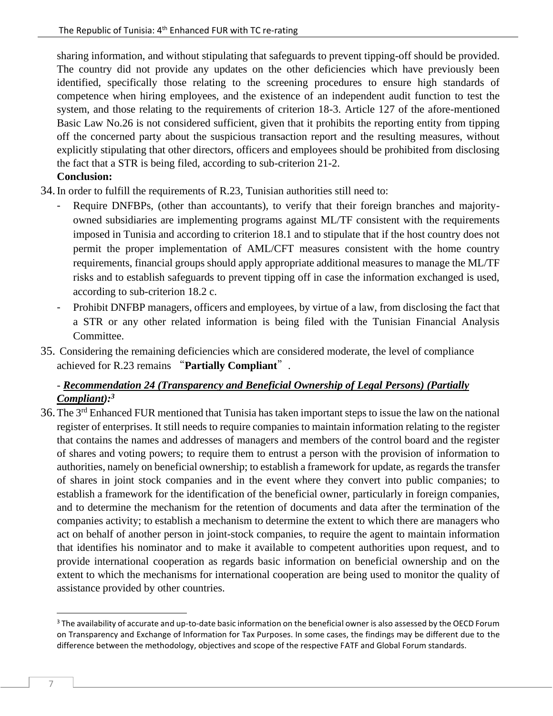sharing information, and without stipulating that safeguards to prevent tipping-off should be provided. The country did not provide any updates on the other deficiencies which have previously been identified, specifically those relating to the screening procedures to ensure high standards of competence when hiring employees, and the existence of an independent audit function to test the system, and those relating to the requirements of criterion 18-3. Article 127 of the afore-mentioned Basic Law No.26 is not considered sufficient, given that it prohibits the reporting entity from tipping off the concerned party about the suspicious transaction report and the resulting measures, without explicitly stipulating that other directors, officers and employees should be prohibited from disclosing the fact that a STR is being filed, according to sub-criterion 21-2.

## **Conclusion:**

- 34.In order to fulfill the requirements of R.23, Tunisian authorities still need to:
	- Require DNFBPs, (other than accountants), to verify that their foreign branches and majorityowned subsidiaries are implementing programs against ML/TF consistent with the requirements imposed in Tunisia and according to criterion 18.1 and to stipulate that if the host country does not permit the proper implementation of AML/CFT measures consistent with the home country requirements, financial groups should apply appropriate additional measures to manage the ML/TF risks and to establish safeguards to prevent tipping off in case the information exchanged is used, according to sub-criterion 18.2 c.
	- Prohibit DNFBP managers, officers and employees, by virtue of a law, from disclosing the fact that a STR or any other related information is being filed with the Tunisian Financial Analysis Committee.
- 35. Considering the remaining deficiencies which are considered moderate, the level of compliance achieved for R.23 remains "**Partially Compliant**".

## - *Recommendation 24 (Transparency and Beneficial Ownership of Legal Persons) (Partially Compliant):<sup>3</sup>*

36.The 3rd Enhanced FUR mentioned that Tunisia has taken important steps to issue the law on the national register of enterprises. It still needs to require companies to maintain information relating to the register that contains the names and addresses of managers and members of the control board and the register of shares and voting powers; to require them to entrust a person with the provision of information to authorities, namely on beneficial ownership; to establish a framework for update, as regards the transfer of shares in joint stock companies and in the event where they convert into public companies; to establish a framework for the identification of the beneficial owner, particularly in foreign companies, and to determine the mechanism for the retention of documents and data after the termination of the companies activity; to establish a mechanism to determine the extent to which there are managers who act on behalf of another person in joint-stock companies, to require the agent to maintain information that identifies his nominator and to make it available to competent authorities upon request, and to provide international cooperation as regards basic information on beneficial ownership and on the extent to which the mechanisms for international cooperation are being used to monitor the quality of assistance provided by other countries.

 $3$  The availability of accurate and up-to-date basic information on the beneficial owner is also assessed by the OECD Forum on Transparency and Exchange of Information for Tax Purposes. In some cases, the findings may be different due to the difference between the methodology, objectives and scope of the respective FATF and Global Forum standards.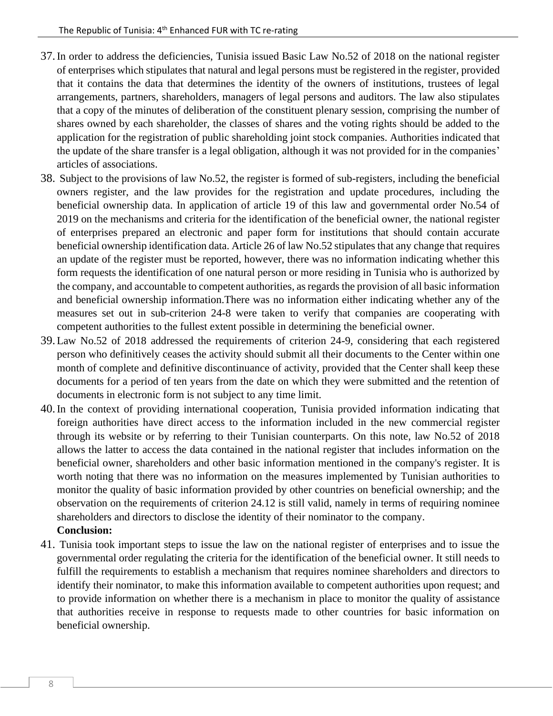- 37.In order to address the deficiencies, Tunisia issued Basic Law No.52 of 2018 on the national register of enterprises which stipulates that natural and legal persons must be registered in the register, provided that it contains the data that determines the identity of the owners of institutions, trustees of legal arrangements, partners, shareholders, managers of legal persons and auditors. The law also stipulates that a copy of the minutes of deliberation of the constituent plenary session, comprising the number of shares owned by each shareholder, the classes of shares and the voting rights should be added to the application for the registration of public shareholding joint stock companies. Authorities indicated that the update of the share transfer is a legal obligation, although it was not provided for in the companies' articles of associations.
- 38. Subject to the provisions of law No.52, the register is formed of sub-registers, including the beneficial owners register, and the law provides for the registration and update procedures, including the beneficial ownership data. In application of article 19 of this law and governmental order No.54 of 2019 on the mechanisms and criteria for the identification of the beneficial owner, the national register of enterprises prepared an electronic and paper form for institutions that should contain accurate beneficial ownership identification data. Article 26 of law No.52 stipulates that any change that requires an update of the register must be reported, however, there was no information indicating whether this form requests the identification of one natural person or more residing in Tunisia who is authorized by the company, and accountable to competent authorities, as regards the provision of all basic information and beneficial ownership information.There was no information either indicating whether any of the measures set out in sub-criterion 24-8 were taken to verify that companies are cooperating with competent authorities to the fullest extent possible in determining the beneficial owner.
- 39.Law No.52 of 2018 addressed the requirements of criterion 24-9, considering that each registered person who definitively ceases the activity should submit all their documents to the Center within one month of complete and definitive discontinuance of activity, provided that the Center shall keep these documents for a period of ten years from the date on which they were submitted and the retention of documents in electronic form is not subject to any time limit.
- 40.In the context of providing international cooperation, Tunisia provided information indicating that foreign authorities have direct access to the information included in the new commercial register through its website or by referring to their Tunisian counterparts. On this note, law No.52 of 2018 allows the latter to access the data contained in the national register that includes information on the beneficial owner, shareholders and other basic information mentioned in the company's register. It is worth noting that there was no information on the measures implemented by Tunisian authorities to monitor the quality of basic information provided by other countries on beneficial ownership; and the observation on the requirements of criterion 24.12 is still valid, namely in terms of requiring nominee shareholders and directors to disclose the identity of their nominator to the company.

#### **Conclusion:**

41. Tunisia took important steps to issue the law on the national register of enterprises and to issue the governmental order regulating the criteria for the identification of the beneficial owner. It still needs to fulfill the requirements to establish a mechanism that requires nominee shareholders and directors to identify their nominator, to make this information available to competent authorities upon request; and to provide information on whether there is a mechanism in place to monitor the quality of assistance that authorities receive in response to requests made to other countries for basic information on beneficial ownership.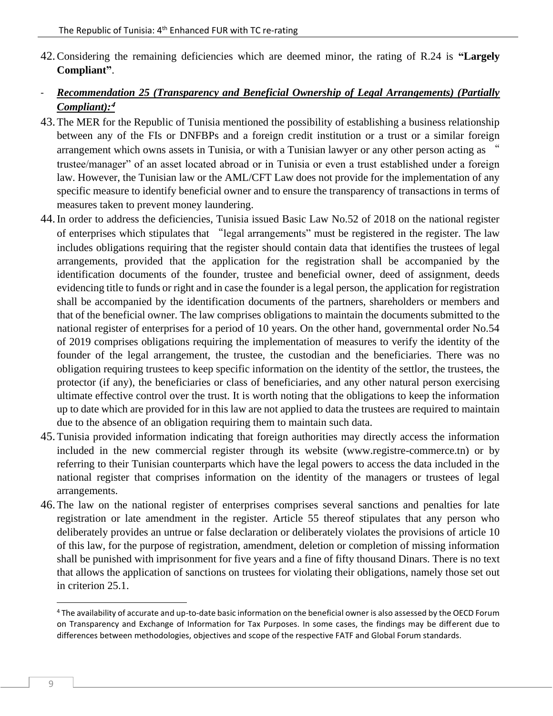- 42.Considering the remaining deficiencies which are deemed minor, the rating of R.24 is **"Largely Compliant"**.
- *Recommendation 25 (Transparency and Beneficial Ownership of Legal Arrangements) (Partially Compliant):***<sup>4</sup>**
- 43.The MER for the Republic of Tunisia mentioned the possibility of establishing a business relationship between any of the FIs or DNFBPs and a foreign credit institution or a trust or a similar foreign arrangement which owns assets in Tunisia, or with a Tunisian lawyer or any other person acting as " trustee/manager" of an asset located abroad or in Tunisia or even a trust established under a foreign law. However, the Tunisian law or the AML/CFT Law does not provide for the implementation of any specific measure to identify beneficial owner and to ensure the transparency of transactions in terms of measures taken to prevent money laundering.
- 44.In order to address the deficiencies, Tunisia issued Basic Law No.52 of 2018 on the national register of enterprises which stipulates that "legal arrangements" must be registered in the register. The law includes obligations requiring that the register should contain data that identifies the trustees of legal arrangements, provided that the application for the registration shall be accompanied by the identification documents of the founder, trustee and beneficial owner, deed of assignment, deeds evidencing title to funds or right and in case the founder is a legal person, the application for registration shall be accompanied by the identification documents of the partners, shareholders or members and that of the beneficial owner. The law comprises obligations to maintain the documents submitted to the national register of enterprises for a period of 10 years. On the other hand, governmental order No.54 of 2019 comprises obligations requiring the implementation of measures to verify the identity of the founder of the legal arrangement, the trustee, the custodian and the beneficiaries. There was no obligation requiring trustees to keep specific information on the identity of the settlor, the trustees, the protector (if any), the beneficiaries or class of beneficiaries, and any other natural person exercising ultimate effective control over the trust. It is worth noting that the obligations to keep the information up to date which are provided for in this law are not applied to data the trustees are required to maintain due to the absence of an obligation requiring them to maintain such data.
- 45.Tunisia provided information indicating that foreign authorities may directly access the information included in the new commercial register through its website (www.registre-commerce.tn) or by referring to their Tunisian counterparts which have the legal powers to access the data included in the national register that comprises information on the identity of the managers or trustees of legal arrangements.
- 46.The law on the national register of enterprises comprises several sanctions and penalties for late registration or late amendment in the register. Article 55 thereof stipulates that any person who deliberately provides an untrue or false declaration or deliberately violates the provisions of article 10 of this law, for the purpose of registration, amendment, deletion or completion of missing information shall be punished with imprisonment for five years and a fine of fifty thousand Dinars. There is no text that allows the application of sanctions on trustees for violating their obligations, namely those set out in criterion 25.1.

<sup>4</sup> The availability of accurate and up-to-date basic information on the beneficial owner is also assessed by the OECD Forum on Transparency and Exchange of Information for Tax Purposes. In some cases, the findings may be different due to differences between methodologies, objectives and scope of the respective FATF and Global Forum standards.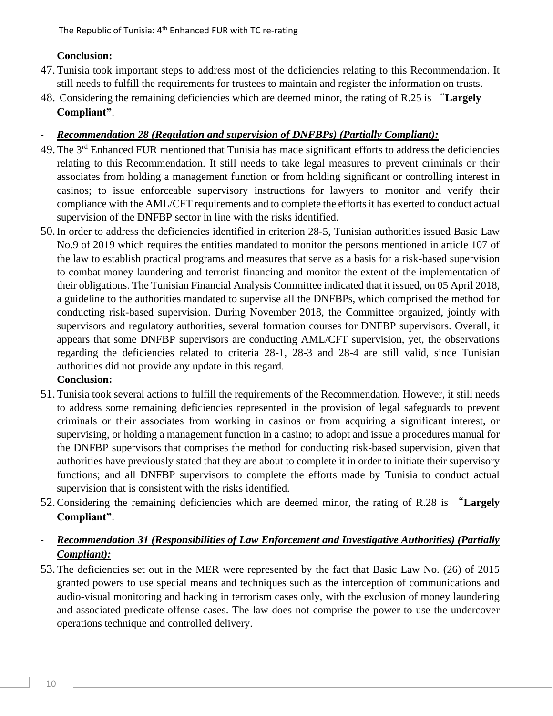#### **Conclusion:**

- 47.Tunisia took important steps to address most of the deficiencies relating to this Recommendation. It still needs to fulfill the requirements for trustees to maintain and register the information on trusts.
- 48. Considering the remaining deficiencies which are deemed minor, the rating of R.25 is "**Largely Compliant"**.

## - *Recommendation 28 (Regulation and supervision of DNFBPs) (Partially Compliant):*

- 49. The 3<sup>rd</sup> Enhanced FUR mentioned that Tunisia has made significant efforts to address the deficiencies relating to this Recommendation. It still needs to take legal measures to prevent criminals or their associates from holding a management function or from holding significant or controlling interest in casinos; to issue enforceable supervisory instructions for lawyers to monitor and verify their compliance with the AML/CFT requirements and to complete the efforts it has exerted to conduct actual supervision of the DNFBP sector in line with the risks identified.
- 50.In order to address the deficiencies identified in criterion 28-5, Tunisian authorities issued Basic Law No.9 of 2019 which requires the entities mandated to monitor the persons mentioned in article 107 of the law to establish practical programs and measures that serve as a basis for a risk-based supervision to combat money laundering and terrorist financing and monitor the extent of the implementation of their obligations. The Tunisian Financial Analysis Committee indicated that it issued, on 05 April 2018, a guideline to the authorities mandated to supervise all the DNFBPs, which comprised the method for conducting risk-based supervision. During November 2018, the Committee organized, jointly with supervisors and regulatory authorities, several formation courses for DNFBP supervisors. Overall, it appears that some DNFBP supervisors are conducting AML/CFT supervision, yet, the observations regarding the deficiencies related to criteria 28-1, 28-3 and 28-4 are still valid, since Tunisian authorities did not provide any update in this regard.

#### **Conclusion:**

- 51.Tunisia took several actions to fulfill the requirements of the Recommendation. However, it still needs to address some remaining deficiencies represented in the provision of legal safeguards to prevent criminals or their associates from working in casinos or from acquiring a significant interest, or supervising, or holding a management function in a casino; to adopt and issue a procedures manual for the DNFBP supervisors that comprises the method for conducting risk-based supervision, given that authorities have previously stated that they are about to complete it in order to initiate their supervisory functions; and all DNFBP supervisors to complete the efforts made by Tunisia to conduct actual supervision that is consistent with the risks identified.
- 52.Considering the remaining deficiencies which are deemed minor, the rating of R.28 is "**Largely Compliant"**.

## - *Recommendation 31 (Responsibilities of Law Enforcement and Investigative Authorities) (Partially Compliant):*

53.The deficiencies set out in the MER were represented by the fact that Basic Law No. (26) of 2015 granted powers to use special means and techniques such as the interception of communications and audio-visual monitoring and hacking in terrorism cases only, with the exclusion of money laundering and associated predicate offense cases. The law does not comprise the power to use the undercover operations technique and controlled delivery.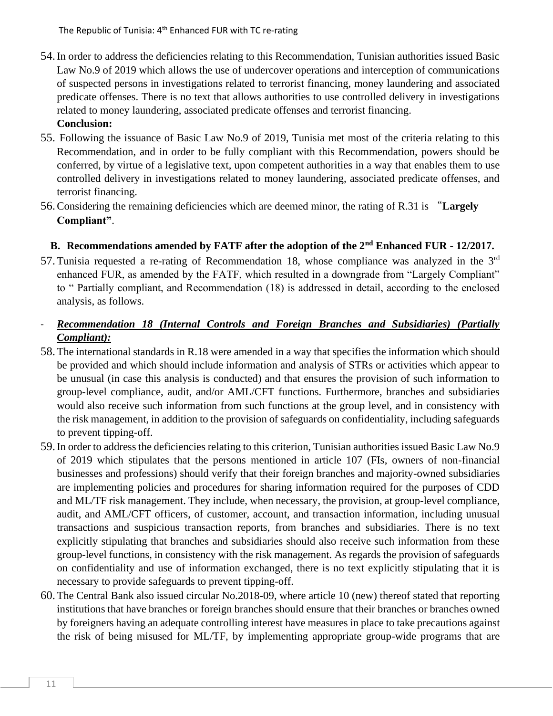- 54.In order to address the deficiencies relating to this Recommendation, Tunisian authorities issued Basic Law No.9 of 2019 which allows the use of undercover operations and interception of communications of suspected persons in investigations related to terrorist financing, money laundering and associated predicate offenses. There is no text that allows authorities to use controlled delivery in investigations related to money laundering, associated predicate offenses and terrorist financing. **Conclusion:**
- 55. Following the issuance of Basic Law No.9 of 2019, Tunisia met most of the criteria relating to this Recommendation, and in order to be fully compliant with this Recommendation, powers should be conferred, by virtue of a legislative text, upon competent authorities in a way that enables them to use controlled delivery in investigations related to money laundering, associated predicate offenses, and terrorist financing.
- 56.Considering the remaining deficiencies which are deemed minor, the rating of R.31 is "**Largely Compliant"**.

## **B. Recommendations amended by FATF after the adoption of the 2nd Enhanced FUR - 12/2017.**

57.Tunisia requested a re-rating of Recommendation 18, whose compliance was analyzed in the 3rd enhanced FUR, as amended by the FATF, which resulted in a downgrade from "Largely Compliant" to " Partially compliant, and Recommendation (18) is addressed in detail, according to the enclosed analysis, as follows.

## - *Recommendation 18 (Internal Controls and Foreign Branches and Subsidiaries) (Partially Compliant):*

- 58.The international standards in R.18 were amended in a way that specifies the information which should be provided and which should include information and analysis of STRs or activities which appear to be unusual (in case this analysis is conducted) and that ensures the provision of such information to group-level compliance, audit, and/or AML/CFT functions. Furthermore, branches and subsidiaries would also receive such information from such functions at the group level, and in consistency with the risk management, in addition to the provision of safeguards on confidentiality, including safeguards to prevent tipping-off.
- 59.In order to address the deficiencies relating to this criterion, Tunisian authorities issued Basic Law No.9 of 2019 which stipulates that the persons mentioned in article 107 (FIs, owners of non-financial businesses and professions) should verify that their foreign branches and majority-owned subsidiaries are implementing policies and procedures for sharing information required for the purposes of CDD and ML/TF risk management. They include, when necessary, the provision, at group-level compliance, audit, and AML/CFT officers, of customer, account, and transaction information, including unusual transactions and suspicious transaction reports, from branches and subsidiaries. There is no text explicitly stipulating that branches and subsidiaries should also receive such information from these group-level functions, in consistency with the risk management. As regards the provision of safeguards on confidentiality and use of information exchanged, there is no text explicitly stipulating that it is necessary to provide safeguards to prevent tipping-off.
- 60.The Central Bank also issued circular No.2018-09, where article 10 (new) thereof stated that reporting institutions that have branches or foreign branches should ensure that their branches or branches owned by foreigners having an adequate controlling interest have measures in place to take precautions against the risk of being misused for ML/TF, by implementing appropriate group-wide programs that are